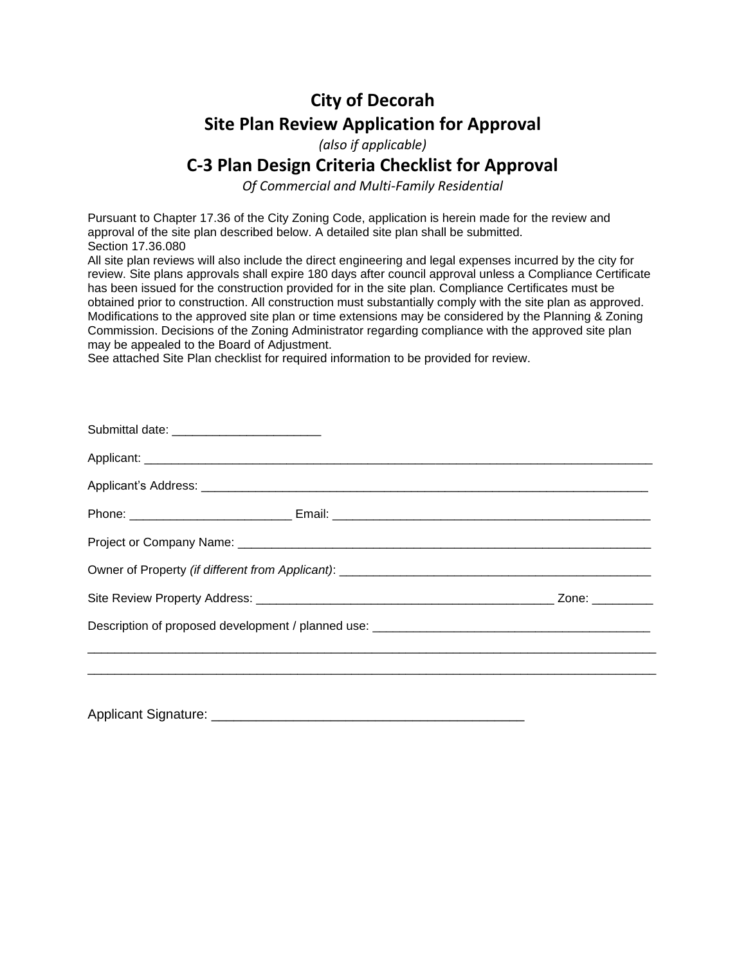# **City of Decorah Site Plan Review Application for Approval**

*(also if applicable)*

## **C-3 Plan Design Criteria Checklist for Approval**

*Of Commercial and Multi-Family Residential*

Pursuant to Chapter 17.36 of the City Zoning Code, application is herein made for the review and approval of the site plan described below. A detailed site plan shall be submitted. Section 17.36.080

All site plan reviews will also include the direct engineering and legal expenses incurred by the city for review. Site plans approvals shall expire 180 days after council approval unless a Compliance Certificate has been issued for the construction provided for in the site plan. Compliance Certificates must be obtained prior to construction. All construction must substantially comply with the site plan as approved. Modifications to the approved site plan or time extensions may be considered by the Planning & Zoning Commission. Decisions of the Zoning Administrator regarding compliance with the approved site plan may be appealed to the Board of Adjustment.

See attached Site Plan checklist for required information to be provided for review.

| Submittal date: __________________________ |  |  |
|--------------------------------------------|--|--|
|                                            |  |  |
|                                            |  |  |
|                                            |  |  |
|                                            |  |  |
|                                            |  |  |
|                                            |  |  |
|                                            |  |  |
|                                            |  |  |
|                                            |  |  |
|                                            |  |  |

Applicant Signature: \_\_\_\_\_\_\_\_\_\_\_\_\_\_\_\_\_\_\_\_\_\_\_\_\_\_\_\_\_\_\_\_\_\_\_\_\_\_\_\_\_\_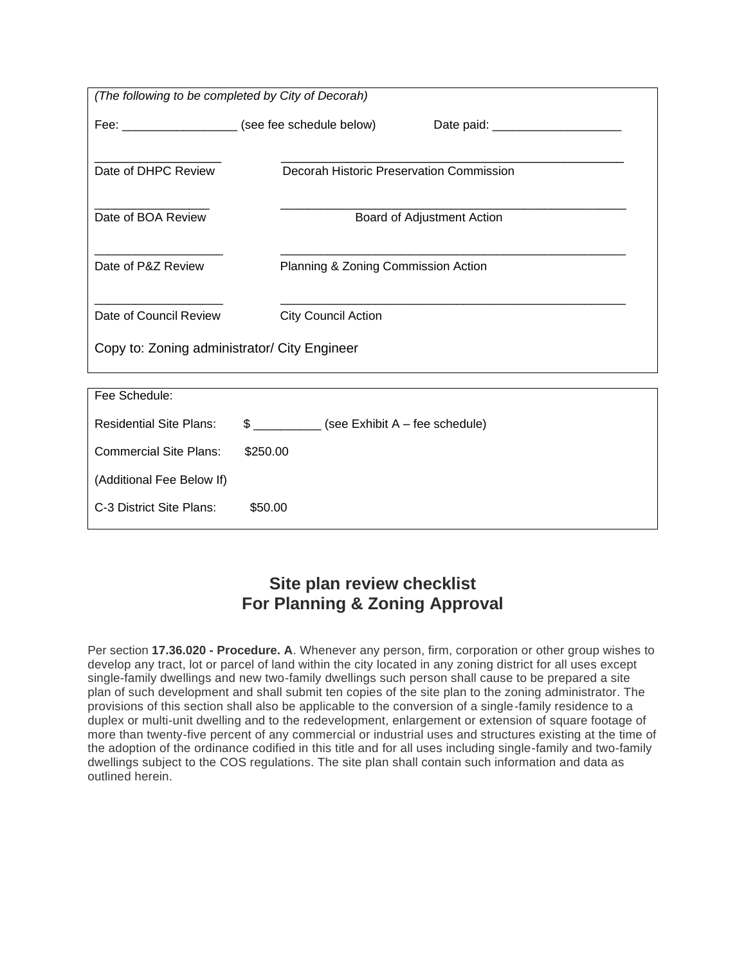| (The following to be completed by City of Decorah) |                                                    |  |  |
|----------------------------------------------------|----------------------------------------------------|--|--|
|                                                    | Fee: ____________________ (see fee schedule below) |  |  |
|                                                    |                                                    |  |  |
| Date of DHPC Review                                | Decorah Historic Preservation Commission           |  |  |
|                                                    |                                                    |  |  |
| Date of BOA Review                                 | Board of Adjustment Action                         |  |  |
|                                                    |                                                    |  |  |
| Date of P&Z Review                                 | Planning & Zoning Commission Action                |  |  |
|                                                    |                                                    |  |  |
| Date of Council Review                             | <b>City Council Action</b>                         |  |  |
| Copy to: Zoning administrator/ City Engineer       |                                                    |  |  |
|                                                    |                                                    |  |  |
| Fee Schedule:                                      |                                                    |  |  |
| <b>Residential Site Plans:</b>                     | \$ ____________ (see Exhibit A - fee schedule)     |  |  |
| <b>Commercial Site Plans:</b>                      | \$250.00                                           |  |  |
| (Additional Fee Below If)                          |                                                    |  |  |
| C-3 District Site Plans:                           | \$50.00                                            |  |  |

## **Site plan review checklist For Planning & Zoning Approval**

Per section **17.36.020 - Procedure. A**. Whenever any person, firm, corporation or other group wishes to develop any tract, lot or parcel of land within the city located in any zoning district for all uses except single-family dwellings and new two-family dwellings such person shall cause to be prepared a site plan of such development and shall submit ten copies of the site plan to the zoning administrator. The provisions of this section shall also be applicable to the conversion of a single-family residence to a duplex or multi-unit dwelling and to the redevelopment, enlargement or extension of square footage of more than twenty-five percent of any commercial or industrial uses and structures existing at the time of the adoption of the ordinance codified in this title and for all uses including single-family and two-family dwellings subject to the COS regulations. The site plan shall contain such information and data as outlined herein.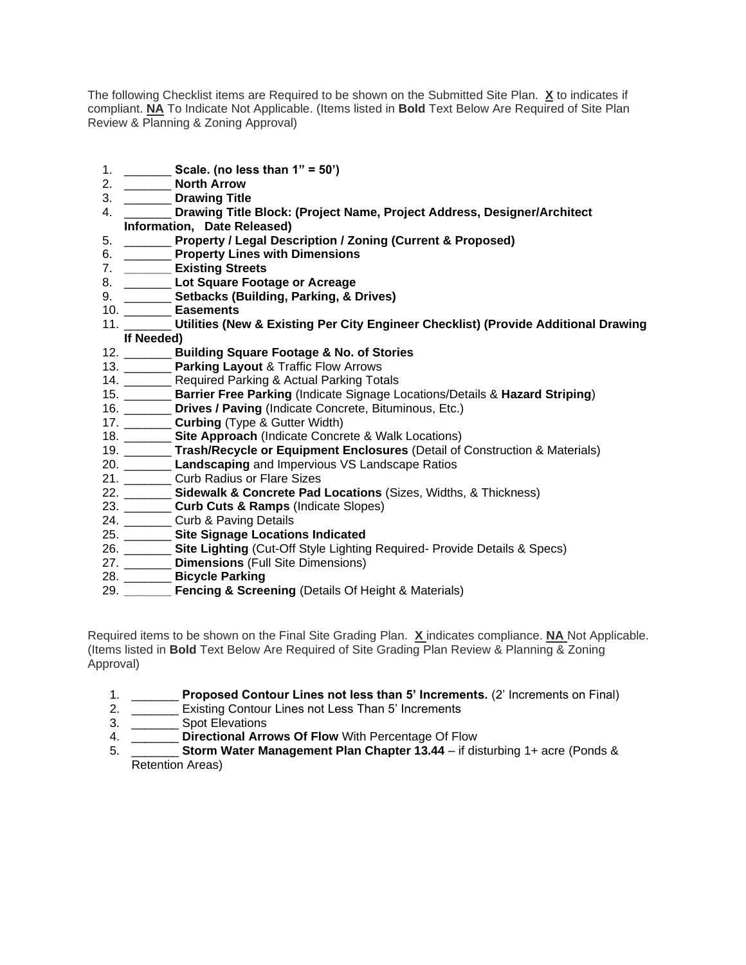The following Checklist items are Required to be shown on the Submitted Site Plan. **X** to indicates if compliant. **NA** To Indicate Not Applicable. (Items listed in **Bold** Text Below Are Required of Site Plan Review & Planning & Zoning Approval)

- 1. \_\_\_\_\_\_\_ **Scale. (no less than 1" = 50')**
- 2. \_\_\_\_\_\_\_ **North Arrow**
- 3. \_\_\_\_\_\_\_ **Drawing Title**
- 4. \_\_\_\_\_\_\_ **Drawing Title Block: (Project Name, Project Address, Designer/Architect Information, Date Released)**
- 5. \_\_\_\_\_\_\_ **Property / Legal Description / Zoning (Current & Proposed)**
- 6. \_\_\_\_\_\_\_ **Property Lines with Dimensions**
- 7. **\_\_\_\_\_\_\_ Existing Streets**
- 8. \_\_\_\_\_\_\_ **Lot Square Footage or Acreage**
- 9. \_\_\_\_\_\_\_ **Setbacks (Building, Parking, & Drives)**
- 10. \_\_\_\_\_\_\_ **Easements**
- 11. \_\_\_\_\_\_\_ **Utilities (New & Existing Per City Engineer Checklist) (Provide Additional Drawing If Needed)**
- 12. \_\_\_\_\_\_\_ **Building Square Footage & No. of Stories**
- 13. \_\_\_\_\_\_\_ **Parking Layout** & Traffic Flow Arrows
- 14. \_\_\_\_\_\_\_ Required Parking & Actual Parking Totals
- 15. \_\_\_\_\_\_\_ **Barrier Free Parking** (Indicate Signage Locations/Details & **Hazard Striping**)
- 16. \_\_\_\_\_\_\_ **Drives / Paving** (Indicate Concrete, Bituminous, Etc.)
- 17. \_\_\_\_\_\_\_ **Curbing** (Type & Gutter Width)
- 18. \_\_\_\_\_\_\_ **Site Approach** (Indicate Concrete & Walk Locations)
- 19. \_\_\_\_\_\_\_ **Trash/Recycle or Equipment Enclosures** (Detail of Construction & Materials)
- 20. \_\_\_\_\_\_\_ **Landscaping** and Impervious VS Landscape Ratios
- 21. \_\_\_\_\_\_\_ Curb Radius or Flare Sizes
- 22. \_\_\_\_\_\_\_ **Sidewalk & Concrete Pad Locations** (Sizes, Widths, & Thickness)
- 23. \_\_\_\_\_\_\_ **Curb Cuts & Ramps** (Indicate Slopes)
- 24. \_\_\_\_\_\_\_\_ Curb & Paving Details
- 25. \_\_\_\_\_\_\_ **Site Signage Locations Indicated**
- 26. \_\_\_\_\_\_\_ **Site Lighting** (Cut-Off Style Lighting Required- Provide Details & Specs)
- 27. \_\_\_\_\_\_\_ **Dimensions** (Full Site Dimensions)
- 28. \_\_\_\_\_\_\_ **Bicycle Parking**
- 29. **\_\_\_\_\_\_\_ Fencing & Screening** (Details Of Height & Materials)

Required items to be shown on the Final Site Grading Plan. **X** indicates compliance. **NA** Not Applicable. (Items listed in **Bold** Text Below Are Required of Site Grading Plan Review & Planning & Zoning Approval)

- 1. \_\_\_\_\_\_\_ **Proposed Contour Lines not less than 5' Increments.** (2' Increments on Final)
- 2. \_\_\_\_\_\_\_ Existing Contour Lines not Less Than 5' Increments
- 3. \_\_\_\_\_\_\_ Spot Elevations
- 4. \_\_\_\_\_\_\_ **Directional Arrows Of Flow** With Percentage Of Flow
- 5. \_\_\_\_\_\_\_ **Storm Water Management Plan Chapter 13.44** if disturbing 1+ acre (Ponds & Retention Areas)